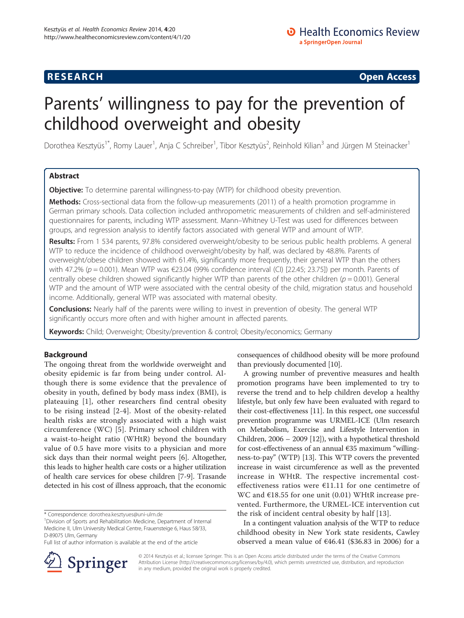## **RESEARCH CHINESE ARCH CHINESE ARCH CHINESE ARCH <b>CHINESE ARCH**

# Parents' willingness to pay for the prevention of childhood overweight and obesity

Dorothea Kesztyüs<sup>1\*</sup>, Romy Lauer<sup>1</sup>, Anja C Schreiber<sup>1</sup>, Tibor Kesztyüs<sup>2</sup>, Reinhold Kilian<sup>3</sup> and Jürgen M Steinacker<sup>1</sup>

## Abstract

**Objective:** To determine parental willingness-to-pay (WTP) for childhood obesity prevention.

Methods: Cross-sectional data from the follow-up measurements (2011) of a health promotion programme in German primary schools. Data collection included anthropometric measurements of children and self-administered questionnaires for parents, including WTP assessment. Mann–Whitney U-Test was used for differences between groups, and regression analysis to identify factors associated with general WTP and amount of WTP.

Results: From 1 534 parents, 97.8% considered overweight/obesity to be serious public health problems. A general WTP to reduce the incidence of childhood overweight/obesity by half, was declared by 48.8%. Parents of overweight/obese children showed with 61.4%, significantly more frequently, their general WTP than the others with 47.2% ( $p = 0.001$ ). Mean WTP was €23.04 (99% confidence interval (CI) [22.45; 23.75]) per month. Parents of centrally obese children showed significantly higher WTP than parents of the other children ( $p = 0.001$ ). General WTP and the amount of WTP were associated with the central obesity of the child, migration status and household income. Additionally, general WTP was associated with maternal obesity.

**Conclusions:** Nearly half of the parents were willing to invest in prevention of obesity. The general WTP significantly occurs more often and with higher amount in affected parents.

Keywords: Child; Overweight; Obesity/prevention & control; Obesity/economics; Germany

## Background

The ongoing threat from the worldwide overweight and obesity epidemic is far from being under control. Although there is some evidence that the prevalence of obesity in youth, defined by body mass index (BMI), is plateauing [[1](#page-6-0)], other researchers find central obesity to be rising instead [[2-4\]](#page-6-0). Most of the obesity-related health risks are strongly associated with a high waist circumference (WC) [\[5](#page-6-0)]. Primary school children with a waist-to-height ratio (WHtR) beyond the boundary value of 0.5 have more visits to a physician and more sick days than their normal weight peers [[6](#page-6-0)]. Altogether, this leads to higher health care costs or a higher utilization of health care services for obese children [\[7](#page-6-0)-[9\]](#page-6-0). Trasande detected in his cost of illness approach, that the economic

\* Correspondence: [dorothea.kesztyues@uni-ulm.de](mailto:dorothea.kesztyues@uni-ulm.de) <sup>1</sup>



A growing number of preventive measures and health promotion programs have been implemented to try to reverse the trend and to help children develop a healthy lifestyle, but only few have been evaluated with regard to their cost-effectiveness [\[11](#page-7-0)]. In this respect, one successful prevention programme was URMEL-ICE (Ulm research on Metabolism, Exercise and Lifestyle Intervention in Children, 2006 – 2009 [[12](#page-7-0)]), with a hypothetical threshold for cost-effectiveness of an annual €35 maximum "willingness-to-pay" (WTP) [\[13\]](#page-7-0). This WTP covers the prevented increase in waist circumference as well as the prevented increase in WHtR. The respective incremental costeffectiveness ratios were €11.11 for one centimetre of WC and €18.55 for one unit (0.01) WHtR increase prevented. Furthermore, the URMEL-ICE intervention cut the risk of incident central obesity by half [\[13\]](#page-7-0).

In a contingent valuation analysis of the WTP to reduce childhood obesity in New York state residents, Cawley observed a mean value of  $€46.41$  (\$36.83 in 2006) for a



© 2014 Kesztyüs et al.; licensee Springer. This is an Open Access article distributed under the terms of the Creative Commons Attribution License [\(http://creativecommons.org/licenses/by/4.0\)](http://creativecommons.org/licenses/by/4.0), which permits unrestricted use, distribution, and reproduction in any medium, provided the original work is properly credited.

<sup>&</sup>lt;sup>1</sup> Division of Sports and Rehabilitation Medicine, Department of Internal Medicine II, Ulm University Medical Centre, Frauensteige 6, Haus 58/33, D-89075 Ulm, Germany

Full list of author information is available at the end of the article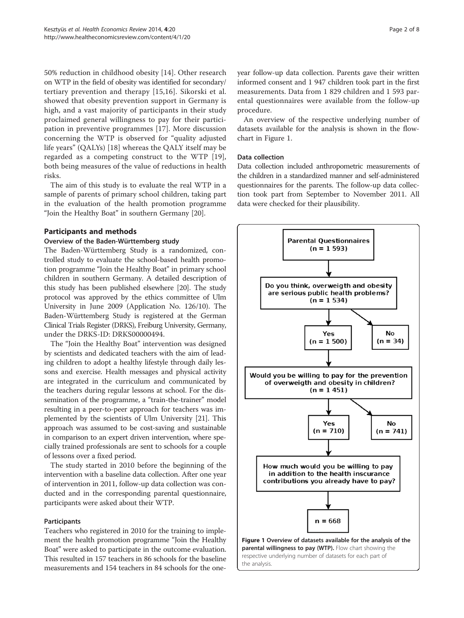50% reduction in childhood obesity [[14](#page-7-0)]. Other research on WTP in the field of obesity was identified for secondary/ tertiary prevention and therapy [\[15,16](#page-7-0)]. Sikorski et al. showed that obesity prevention support in Germany is high, and a vast majority of participants in their study proclaimed general willingness to pay for their participation in preventive programmes [[17](#page-7-0)]. More discussion concerning the WTP is observed for "quality adjusted life years" (QALYs) [\[18](#page-7-0)] whereas the QALY itself may be regarded as a competing construct to the WTP [\[19](#page-7-0)], both being measures of the value of reductions in health risks.

The aim of this study is to evaluate the real WTP in a sample of parents of primary school children, taking part in the evaluation of the health promotion programme "Join the Healthy Boat" in southern Germany [[20\]](#page-7-0).

## Participants and methods

## Overview of the Baden-Württemberg study

The Baden-Württemberg Study is a randomized, controlled study to evaluate the school-based health promotion programme "Join the Healthy Boat" in primary school children in southern Germany. A detailed description of this study has been published elsewhere [\[20\]](#page-7-0). The study protocol was approved by the ethics committee of Ulm University in June 2009 (Application No. 126/10). The Baden-Württemberg Study is registered at the German Clinical Trials Register (DRKS), Freiburg University, Germany, under the DRKS-ID: DRKS00000494.

The "Join the Healthy Boat" intervention was designed by scientists and dedicated teachers with the aim of leading children to adopt a healthy lifestyle through daily lessons and exercise. Health messages and physical activity are integrated in the curriculum and communicated by the teachers during regular lessons at school. For the dissemination of the programme, a "train-the-trainer" model resulting in a peer-to-peer approach for teachers was implemented by the scientists of Ulm University [\[21\]](#page-7-0). This approach was assumed to be cost-saving and sustainable in comparison to an expert driven intervention, where specially trained professionals are sent to schools for a couple of lessons over a fixed period.

The study started in 2010 before the beginning of the intervention with a baseline data collection. After one year of intervention in 2011, follow-up data collection was conducted and in the corresponding parental questionnaire, participants were asked about their WTP.

#### Participants

Teachers who registered in 2010 for the training to implement the health promotion programme "Join the Healthy Boat" were asked to participate in the outcome evaluation. This resulted in 157 teachers in 86 schools for the baseline measurements and 154 teachers in 84 schools for the oneyear follow-up data collection. Parents gave their written informed consent and 1 947 children took part in the first measurements. Data from 1 829 children and 1 593 parental questionnaires were available from the follow-up procedure.

An overview of the respective underlying number of datasets available for the analysis is shown in the flowchart in Figure 1.

## Data collection

Data collection included anthropometric measurements of the children in a standardized manner and self-administered questionnaires for the parents. The follow-up data collection took part from September to November 2011. All data were checked for their plausibility.

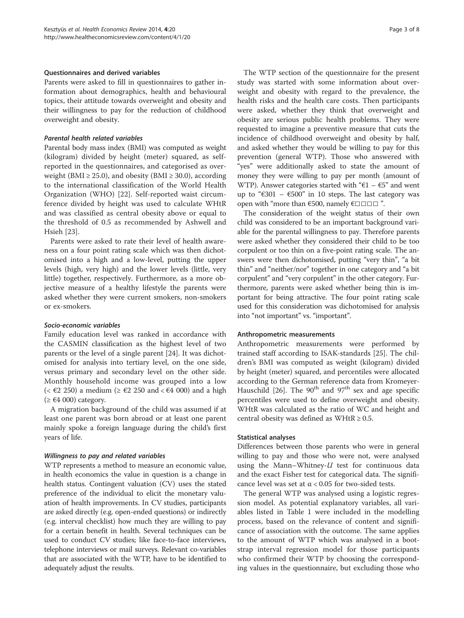#### Questionnaires and derived variables

Parents were asked to fill in questionnaires to gather information about demographics, health and behavioural topics, their attitude towards overweight and obesity and their willingness to pay for the reduction of childhood overweight and obesity.

#### Parental health related variables

Parental body mass index (BMI) was computed as weight (kilogram) divided by height (meter) squared, as selfreported in the questionnaires, and categorised as overweight (BMI  $\geq$  25.0), and obesity (BMI  $\geq$  30.0), according to the international classification of the World Health Organization (WHO) [[22\]](#page-7-0). Self-reported waist circumference divided by height was used to calculate WHtR and was classified as central obesity above or equal to the threshold of 0.5 as recommended by Ashwell and Hsieh [[23\]](#page-7-0).

Parents were asked to rate their level of health awareness on a four point rating scale which was then dichotomised into a high and a low-level, putting the upper levels (high, very high) and the lower levels (little, very little) together, respectively. Furthermore, as a more objective measure of a healthy lifestyle the parents were asked whether they were current smokers, non-smokers or ex-smokers.

#### Socio-economic variables

Family education level was ranked in accordance with the CASMIN classification as the highest level of two parents or the level of a single parent [[24\]](#page-7-0). It was dichotomised for analysis into tertiary level, on the one side, versus primary and secondary level on the other side. Monthly household income was grouped into a low (<  $€2$  250) a medium ( $≥$   $€2$  250 and <  $€4$  000) and a high  $(\geq \epsilon 4 000)$  category.

A migration background of the child was assumed if at least one parent was born abroad or at least one parent mainly spoke a foreign language during the child's first years of life.

#### Willingness to pay and related variables

WTP represents a method to measure an economic value, in health economics the value in question is a change in health status. Contingent valuation (CV) uses the stated preference of the individual to elicit the monetary valuation of health improvements. In CV studies, participants are asked directly (e.g. open-ended questions) or indirectly (e.g. interval checklist) how much they are willing to pay for a certain benefit in health. Several techniques can be used to conduct CV studies; like face-to-face interviews, telephone interviews or mail surveys. Relevant co-variables that are associated with the WTP, have to be identified to adequately adjust the results.

The WTP section of the questionnaire for the present study was started with some information about overweight and obesity with regard to the prevalence, the health risks and the health care costs. Then participants were asked, whether they think that overweight and obesity are serious public health problems. They were requested to imagine a preventive measure that cuts the incidence of childhood overweight and obesity by half, and asked whether they would be willing to pay for this prevention (general WTP). Those who answered with "yes" were additionally asked to state the amount of money they were willing to pay per month (amount of WTP). Answer categories started with " $\epsilon$ 1 –  $\epsilon$ 5" and went up to " $\epsilon$ 301 –  $\epsilon$ 500" in 10 steps. The last category was open with "more than  $€500$ , namely  $€□□□$ ".

The consideration of the weight status of their own child was considered to be an important background variable for the parental willingness to pay. Therefore parents were asked whether they considered their child to be too corpulent or too thin on a five-point rating scale. The answers were then dichotomised, putting "very thin", "a bit thin" and "neither/nor" together in one category and "a bit corpulent" and "very corpulent" in the other category. Furthermore, parents were asked whether being thin is important for being attractive. The four point rating scale used for this consideration was dichotomised for analysis into "not important" vs. "important".

#### Anthropometric measurements

Anthropometric measurements were performed by trained staff according to ISAK-standards [\[25](#page-7-0)]. The children's BMI was computed as weight (kilogram) divided by height (meter) squared, and percentiles were allocated according to the German reference data from Kromeyer-Hauschild [\[26](#page-7-0)]. The  $90^{th}$  and  $97^{th}$  sex and age specific percentiles were used to define overweight and obesity. WHtR was calculated as the ratio of WC and height and central obesity was defined as WHtR  $\geq$  0.5.

#### Statistical analyses

Differences between those parents who were in general willing to pay and those who were not, were analysed using the Mann–Whitney- $U$  test for continuous data and the exact Fisher test for categorical data. The significance level was set at  $\alpha$  < 0.05 for two-sided tests.

The general WTP was analysed using a logistic regression model. As potential explanatory variables, all variables listed in Table [1](#page-3-0) were included in the modelling process, based on the relevance of content and significance of association with the outcome. The same applies to the amount of WTP which was analysed in a bootstrap interval regression model for those participants who confirmed their WTP by choosing the corresponding values in the questionnaire, but excluding those who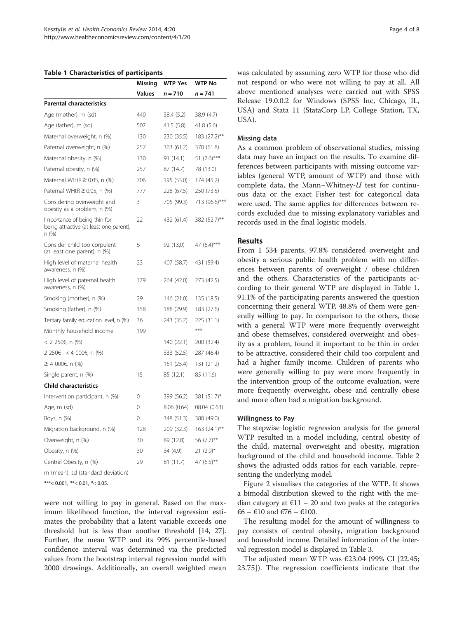#### <span id="page-3-0"></span>Table 1 Characteristics of participants

|                                                                                  | Missing       | WTP Yes     | WTP No         |
|----------------------------------------------------------------------------------|---------------|-------------|----------------|
|                                                                                  | <b>Values</b> | $n = 710$   | n = 741        |
| <b>Parental characteristics</b>                                                  |               |             |                |
| Age (mother), m (sd)                                                             | 440           | 38.4 (5.2)  | 38.9 (4.7)     |
| Age (father), m (sd)                                                             | 507           | 41.5 (5.8)  | 41.8 (5.6)     |
| Maternal overweight, n (%)                                                       | 130           | 230 (35.5)  | 183 (27.2)**   |
| Paternal overweight, n (%)                                                       | 257           | 363 (61.2)  | 370 (61.8)     |
| Maternal obesity, n (%)                                                          | 130           | 91 (14.1)   | $51 (7.6)$ *** |
| Paternal obesity, n (%)                                                          | 257           | 87 (14.7)   | 78 (13.0)      |
| Maternal WHtR $\geq$ 0.05, n (%)                                                 | 706           | 195 (53.0)  | 174 (45.2)     |
| Paternal WHtR $\geq$ 0.05, n (%)                                                 | 777           | 228 (67.5)  | 250 (73.5)     |
| Considering overweight and<br>obesity as a problem, n (%)                        | 3             | 705 (99.3)  | 713 (96.6)***  |
| Importance of being thin for<br>being attractive (at least one parent),<br>n (%) | 22            | 432 (61.4)  | 382 (52.7)**   |
| Consider child too corpulent<br>(at least one parent), n (%)                     | 6             | 92 (13,0)   | 47 $(6,4)$ *** |
| High level of maternal health<br>awareness, n (%)                                | 23            | 407 (58.7)  | 431 (59.4)     |
| High level of paternal health<br>awareness, n (%)                                | 179           | 264 (42.0)  | 273 (42.5)     |
| Smoking (mother), n (%)                                                          | 29            | 146 (21.0)  | 135 (18.5)     |
| Smoking (father), n (%)                                                          | 158           | 188 (29.9)  | 183 (27.6)     |
| Tertiary family education level, n (%)                                           | 36            | 243 (35.2)  | 225 (31.1)     |
| Monthly household income                                                         | 199           |             | ***            |
| < 2 250€, n (%)                                                                  |               | 140 (22.1)  | 200 (32.4)     |
| 2 250€ - < 4 000€, n (%)                                                         |               | 333 (52.5)  | 287 (46.4)     |
| $≥$ 4 000€, n (%)                                                                |               | 161 (25.4)  | 131 (21.2)     |
| Single parent, n (%)                                                             | 15            | 85 (12.1)   | 85 (11.6)      |
| <b>Child characteristics</b>                                                     |               |             |                |
| Intervention participant, n (%)                                                  | 0             | 399 (56.2)  | 381 (51.7)*    |
| Age, m (sd)                                                                      | 0             | 8.06 (0.64) | 08.04 (0.63)   |
| Boys, n (%)                                                                      | 0             | 348 (51.3)  | 380 (49.0)     |
| Migration background, n (%)                                                      | 128           | 209 (32.3)  | 163 (24.1)**   |
| Overweight, n (%)                                                                | 30            | 89 (12.8)   | 56 (7.7)**     |
| Obesity, n (%)                                                                   | 30            | 34 (4.9)    | $21(2.9)$ *    |
| Central Obesity, n (%)                                                           | 29            | 81 (11.7)   | 47 (6.5)**     |
| m (mean), sd (standard deviation)                                                |               |             |                |

\*\*\*< 0.001, \*\*< 0.01, \*< 0.05.

were not willing to pay in general. Based on the maximum likelihood function, the interval regression estimates the probability that a latent variable exceeds one threshold but is less than another threshold [\[14, 27](#page-7-0)]. Further, the mean WTP and its 99% percentile-based confidence interval was determined via the predicted values from the bootstrap interval regression model with 2000 drawings. Additionally, an overall weighted mean was calculated by assuming zero WTP for those who did not respond or who were not willing to pay at all. All above mentioned analyses were carried out with SPSS Release 19.0.0.2 for Windows (SPSS Inc, Chicago, IL, USA) and Stata 11 (StataCorp LP, College Station, TX, USA).

#### Missing data

As a common problem of observational studies, missing data may have an impact on the results. To examine differences between participants with missing outcome variables (general WTP, amount of WTP) and those with complete data, the Mann–Whitney-U test for continuous data or the exact Fisher test for categorical data were used. The same applies for differences between records excluded due to missing explanatory variables and records used in the final logistic models.

## Results

From 1 534 parents, 97.8% considered overweight and obesity a serious public health problem with no differences between parents of overweight / obese children and the others. Characteristics of the participants according to their general WTP are displayed in Table 1. 91.1% of the participating parents answered the question concerning their general WTP, 48.8% of them were generally willing to pay. In comparison to the others, those with a general WTP were more frequently overweight and obese themselves, considered overweight and obesity as a problem, found it important to be thin in order to be attractive, considered their child too corpulent and had a higher family income. Children of parents who were generally willing to pay were more frequently in the intervention group of the outcome evaluation, were more frequently overweight, obese and centrally obese and more often had a migration background.

#### Willingness to Pay

The stepwise logistic regression analysis for the general WTP resulted in a model including, central obesity of the child, maternal overweight and obesity, migration background of the child and household income. Table [2](#page-4-0) shows the adjusted odds ratios for each variable, representing the underlying model.

Figure [2](#page-4-0) visualises the categories of the WTP. It shows a bimodal distribution skewed to the right with the median category at  $611 - 20$  and two peaks at the categories  $\epsilon$ 6 –  $\epsilon$ 10 and  $\epsilon$ 76 –  $\epsilon$ 100.

The resulting model for the amount of willingness to pay consists of central obesity, migration background and household income. Detailed information of the interval regression model is displayed in Table [3](#page-5-0).

The adjusted mean WTP was  $\epsilon$ 23.04 (99% CI [22.45; 23.75]). The regression coefficients indicate that the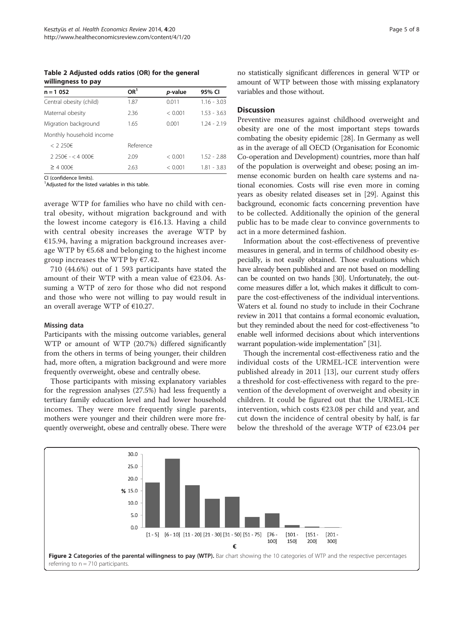<span id="page-4-0"></span>Table 2 Adjusted odds ratios (OR) for the general willingness to pay

| $n = 1052$               | OR <sup>1</sup> | p-value | 95% CI        |
|--------------------------|-----------------|---------|---------------|
| Central obesity (child)  | 1.87            | 0.011   | $1.16 - 3.03$ |
| Maternal obesity         | 2.36            | < 0.001 | $1.53 - 3.63$ |
| Migration background     | 1.65            | 0.001   | $1.24 - 2.19$ |
| Monthly household income |                 |         |               |
| $<$ 2 250€               | Reference       |         |               |
| 2 250€ - < 4 000€        | 2.09            | < 0.001 | 152 - 288     |
| ≥ 4 000€                 | 2.63            | < 0.001 | $1.81 - 3.83$ |

CI (confidence limits).

<sup>1</sup>Adjusted for the listed variables in this table.

average WTP for families who have no child with central obesity, without migration background and with the lowest income category is €16.13. Having a child with central obesity increases the average WTP by €15.94, having a migration background increases average WTP by €5.68 and belonging to the highest income group increases the WTP by  $\epsilon$ 7.42.

710 (44.6%) out of 1 593 participants have stated the amount of their WTP with a mean value of  $E$ 23.04. Assuming a WTP of zero for those who did not respond and those who were not willing to pay would result in an overall average WTP of €10.27.

#### Missing data

Participants with the missing outcome variables, general WTP or amount of WTP (20.7%) differed significantly from the others in terms of being younger, their children had, more often, a migration background and were more frequently overweight, obese and centrally obese.

Those participants with missing explanatory variables for the regression analyses (27.5%) had less frequently a tertiary family education level and had lower household incomes. They were more frequently single parents, mothers were younger and their children were more frequently overweight, obese and centrally obese. There were no statistically significant differences in general WTP or amount of WTP between those with missing explanatory variables and those without.

## Discussion

Preventive measures against childhood overweight and obesity are one of the most important steps towards combating the obesity epidemic [[28\]](#page-7-0). In Germany as well as in the average of all OECD (Organisation for Economic Co-operation and Development) countries, more than half of the population is overweight and obese; posing an immense economic burden on health care systems and national economies. Costs will rise even more in coming years as obesity related diseases set in [[29](#page-7-0)]. Against this background, economic facts concerning prevention have to be collected. Additionally the opinion of the general public has to be made clear to convince governments to act in a more determined fashion.

Information about the cost-effectiveness of preventive measures in general, and in terms of childhood obesity especially, is not easily obtained. Those evaluations which have already been published and are not based on modelling can be counted on two hands [\[30](#page-7-0)]. Unfortunately, the outcome measures differ a lot, which makes it difficult to compare the cost-effectiveness of the individual interventions. Waters et al. found no study to include in their Cochrane review in 2011 that contains a formal economic evaluation, but they reminded about the need for cost-effectiveness "to enable well informed decisions about which interventions warrant population-wide implementation" [\[31\]](#page-7-0).

Though the incremental cost-effectiveness ratio and the individual costs of the URMEL-ICE intervention were published already in 2011 [\[13](#page-7-0)], our current study offers a threshold for cost-effectiveness with regard to the prevention of the development of overweight and obesity in children. It could be figured out that the URMEL-ICE intervention, which costs €23.08 per child and year, and cut down the incidence of central obesity by half, is far below the threshold of the average WTP of €23.04 per

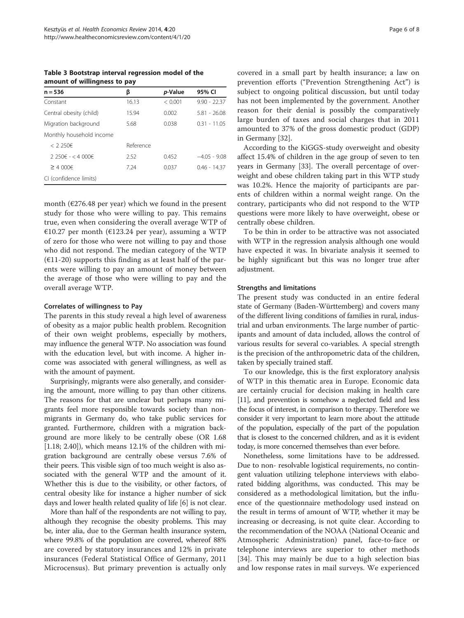<span id="page-5-0"></span>Table 3 Bootstrap interval regression model of the amount of willingness to pay

| $n = 536$                | β         | p-Value | 95% CI         |
|--------------------------|-----------|---------|----------------|
| Constant                 | 16.13     | < 0.001 | $9.90 - 22.37$ |
| Central obesity (child)  | 15.94     | 0.002   | $5.81 - 26.08$ |
| Migration background     | 5.68      | 0.038   | $0.31 - 11.05$ |
| Monthly household income |           |         |                |
| $<$ 2 250€               | Reference |         |                |
| 2 250€ - < 4 000€        | 2.52      | 0452    | $-405 - 908$   |
| $\geq 4000 \epsilon$     | 7.24      | 0.037   | $0.46 - 14.37$ |
| CI (confidence limits)   |           |         |                |

month ( $\epsilon$ 276.48 per year) which we found in the present study for those who were willing to pay. This remains true, even when considering the overall average WTP of €10.27 per month (€123.24 per year), assuming a WTP of zero for those who were not willing to pay and those who did not respond. The median category of the WTP  $(611-20)$  supports this finding as at least half of the parents were willing to pay an amount of money between the average of those who were willing to pay and the overall average WTP.

#### Correlates of willingness to Pay

The parents in this study reveal a high level of awareness of obesity as a major public health problem. Recognition of their own weight problems, especially by mothers, may influence the general WTP. No association was found with the education level, but with income. A higher income was associated with general willingness, as well as with the amount of payment.

Surprisingly, migrants were also generally, and considering the amount, more willing to pay than other citizens. The reasons for that are unclear but perhaps many migrants feel more responsible towards society than nonmigrants in Germany do, who take public services for granted. Furthermore, children with a migration background are more likely to be centrally obese (OR 1.68  $[1.18; 2.40]$ , which means 12.1% of the children with migration background are centrally obese versus 7.6% of their peers. This visible sign of too much weight is also associated with the general WTP and the amount of it. Whether this is due to the visibility, or other factors, of central obesity like for instance a higher number of sick days and lower health related quality of life [[6\]](#page-6-0) is not clear.

More than half of the respondents are not willing to pay, although they recognise the obesity problems. This may be, inter alia, due to the German health insurance system, where 99.8% of the population are covered, whereof 88% are covered by statutory insurances and 12% in private insurances (Federal Statistical Office of Germany, 2011 Microcensus). But primary prevention is actually only covered in a small part by health insurance; a law on prevention efforts ("Prevention Strengthening Act") is subject to ongoing political discussion, but until today has not been implemented by the government. Another reason for their denial is possibly the comparatively large burden of taxes and social charges that in 2011 amounted to 37% of the gross domestic product (GDP) in Germany [[32\]](#page-7-0).

According to the KiGGS-study overweight and obesity affect 15.4% of children in the age group of seven to ten years in Germany [\[33](#page-7-0)]. The overall percentage of overweight and obese children taking part in this WTP study was 10.2%. Hence the majority of participants are parents of children within a normal weight range. On the contrary, participants who did not respond to the WTP questions were more likely to have overweight, obese or centrally obese children.

To be thin in order to be attractive was not associated with WTP in the regression analysis although one would have expected it was. In bivariate analysis it seemed to be highly significant but this was no longer true after adjustment.

#### Strengths and limitations

The present study was conducted in an entire federal state of Germany (Baden-Württemberg) and covers many of the different living conditions of families in rural, industrial and urban environments. The large number of participants and amount of data included, allows the control of various results for several co-variables. A special strength is the precision of the anthropometric data of the children, taken by specially trained staff.

To our knowledge, this is the first exploratory analysis of WTP in this thematic area in Europe. Economic data are certainly crucial for decision making in health care [[11\]](#page-7-0), and prevention is somehow a neglected field and less the focus of interest, in comparison to therapy. Therefore we consider it very important to learn more about the attitude of the population, especially of the part of the population that is closest to the concerned children, and as it is evident today, is more concerned themselves than ever before.

Nonetheless, some limitations have to be addressed. Due to non- resolvable logistical requirements, no contingent valuation utilizing telephone interviews with elaborated bidding algorithms, was conducted. This may be considered as a methodological limitation, but the influence of the questionnaire methodology used instead on the result in terms of amount of WTP, whether it may be increasing or decreasing, is not quite clear. According to the recommendation of the NOAA (National Oceanic and Atmospheric Administration) panel, face-to-face or telephone interviews are superior to other methods [[34\]](#page-7-0). This may mainly be due to a high selection bias and low response rates in mail surveys. We experienced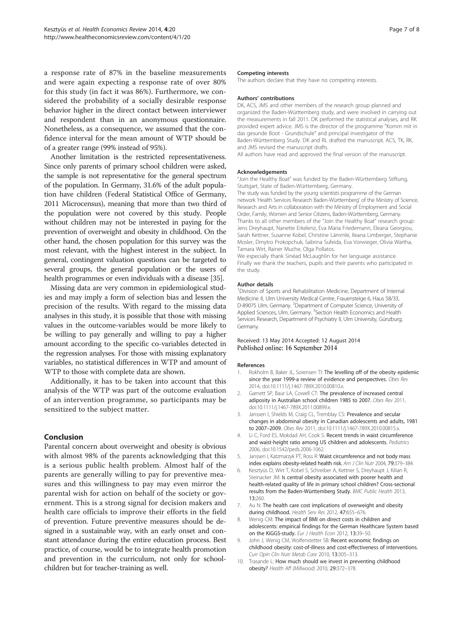<span id="page-6-0"></span>a response rate of 87% in the baseline measurements and were again expecting a response rate of over 80% for this study (in fact it was 86%). Furthermore, we considered the probability of a socially desirable response behavior higher in the direct contact between interviewer and respondent than in an anonymous questionnaire. Nonetheless, as a consequence, we assumed that the confidence interval for the mean amount of WTP should be of a greater range (99% instead of 95%).

Another limitation is the restricted representativeness. Since only parents of primary school children were asked, the sample is not representative for the general spectrum of the population. In Germany, 31.6% of the adult population have children (Federal Statistical Office of Germany, 2011 Microcensus), meaning that more than two third of the population were not covered by this study. People without children may not be interested in paying for the prevention of overweight and obesity in childhood. On the other hand, the chosen population for this survey was the most relevant, with the highest interest in the subject. In general, contingent valuation questions can be targeted to several groups, the general population or the users of health programmes or even individuals with a disease [\[35\]](#page-7-0).

Missing data are very common in epidemiological studies and may imply a form of selection bias and lessen the precision of the results. With regard to the missing data analyses in this study, it is possible that those with missing values in the outcome-variables would be more likely to be willing to pay generally and willing to pay a higher amount according to the specific co-variables detected in the regression analyses. For those with missing explanatory variables, no statistical differences in WTP and amount of WTP to those with complete data are shown.

Additionally, it has to be taken into account that this analysis of the WTP was part of the outcome evaluation of an intervention programme, so participants may be sensitized to the subject matter.

## Conclusion

Parental concern about overweight and obesity is obvious with almost 98% of the parents acknowledging that this is a serious public health problem. Almost half of the parents are generally willing to pay for preventive measures and this willingness to pay may even mirror the parental wish for action on behalf of the society or government. This is a strong signal for decision makers and health care officials to improve their efforts in the field of prevention. Future preventive measures should be designed in a sustainable way, with an early onset and constant attendance during the entire education process. Best practice, of course, would be to integrate health promotion and prevention in the curriculum, not only for schoolchildren but for teacher-training as well.

#### Competing interests

The authors declare that they have no competing interests.

#### Authors' contributions

DK, ACS, JMS and other members of the research group planned and organized the Baden-Württemberg study, and were involved in carrying out the measurements in fall 2011. DK performed the statistical analyses, and RK provided expert advice. JMS is the director of the programme "Komm mit in das gesunde Boot - Grundschule" and principal investigator of the Baden-Württemberg Study. DK and RL drafted the manuscript. ACS, TK, RK, and JMS revised the manuscript drafts.

All authors have read and approved the final version of the manuscript.

#### Acknowledgements

"Join the Healthy Boat" was funded by the Baden-Württemberg Stiftung, Stuttgart, State of Baden-Württemberg, Germany.

The study was funded by the young scientists programme of the German network 'Health Services Research Baden-Württemberg' of the Ministry of Science, Research and Arts in collaboration with the Ministry of Employment and Social Order, Family, Women and Senior Citizens, Baden-Württemberg, Germany. Thanks to all other members of the "Join the Healthy Boat" research group: Jens Dreyhaupt, Nanette Erkelenz, Eva Maria Friedemann, Eleana Georgiou, Sarah Kettner, Susanne Kobel, Christine Lämmle, Ileana Limberger, Stephanie Mosler, Dmytro Prokopchuk, Sabrina Sufeida, Eva Vorwieger, Olivia Wartha, Tamara Wirt, Rainer Muche, Olga Pollatos.

We especially thank Sinéad McLaughlin for her language assistance. Finally we thank the teachers, pupils and their parents who participated in the study.

#### Author details

<sup>1</sup> Division of Sports and Rehabilitation Medicine, Department of Internal Medicine II, Ulm University Medical Centre, Frauensteige 6, Haus 58/33, D-89075 Ulm, Germany. <sup>2</sup> Department of Computer Science, University of Applied Sciences, Ulm, Germany. <sup>3</sup>Section Health Economics and Health Services Research, Department of Psychiatry II, Ulm University, Günzburg, Germany.

#### Received: 13 May 2014 Accepted: 12 August 2014 Published online: 16 September 2014

#### References

- 1. Rokholm B, Baker JL, Sorensen TI: The levelling off of the obesity epidemic since the year 1999-a review of evidence and perspectives. Obes Rev 2014, doi:10.1111/j.1467-789X.2010.00810.x.
- 2. Garnett SP, Baur LA, Cowell CT: The prevalence of increased central adiposity in Australian school children 1985 to 2007. Obes Rev 2011, doi:10.1111/j.1467-789X.2011.00899.x.
- 3. Janssen I, Shields M, Craig CL, Tremblay CS: Prevalence and secular changes in abdominal obesity in Canadian adolescents and adults, 1981 to 2007–2009. Obes Rev 2011, doi:10.1111/j.1467-789X.2010.00815.x.
- 4. Li C, Ford ES, Mokdad AH, Cook S: Recent trends in waist circumference and waist-height ratio among US children and adolescents. Pediatrics 2006, doi:10.1542/peds.2006-1062.
- 5. Janssen I, Katzmarzyk PT, Ross R: Waist circumference and not body mass index explains obesity-related health risk. Am J Clin Nutr 2004, 79:379-384.
- 6. Kesztyüs D, Wirt T, Kobel S, Schreiber A, Kettner S, Dreyhaupt J, Kilian R, Steinacker JM: Is central obesity associated with poorer health and health-related quality of life in primary school children? Cross-sectional results from the Baden-Württemberg Study. BMC Public Health 2013, 13:260.
- 7. Au N: The health care cost implications of overweight and obesity during childhood. Health Serv Res 2012, 47:655–676.
- 8. Wenig CM: The impact of BMI on direct costs in children and adolescents: empirical findings for the German Healthcare System based on the KiGGS-study. Eur J Health Econ 2012, 13:39-50.
- 9. John J, Wenig CM, Wolfenstetter SB: Recent economic findings on childhood obesity: cost-of-illness and cost-effectiveness of interventions. Curr Opin Clin Nutr Metab Care 2010, 13:305–313.
- 10. Trasande L: How much should we invest in preventing childhood obesity? Health Aff (Millwood) 2010, 29:372–378.